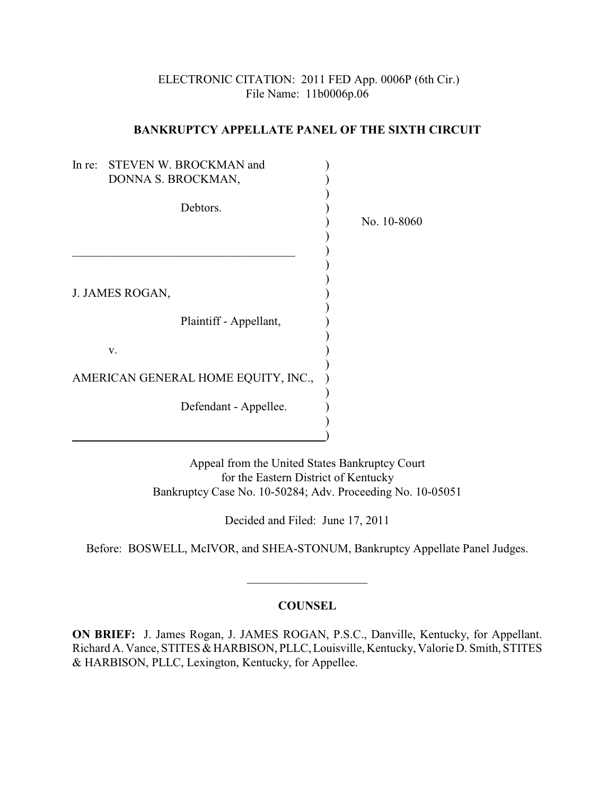# ELECTRONIC CITATION: 2011 FED App. 0006P (6th Cir.) File Name: 11b0006p.06

### **BANKRUPTCY APPELLATE PANEL OF THE SIXTH CIRCUIT**

| In $re$ :                           | STEVEN W. BROCKMAN and |             |
|-------------------------------------|------------------------|-------------|
|                                     | DONNA S. BROCKMAN,     |             |
|                                     | Debtors.               |             |
|                                     |                        | No. 10-8060 |
|                                     |                        |             |
|                                     |                        |             |
|                                     |                        |             |
|                                     |                        |             |
|                                     | J. JAMES ROGAN,        |             |
|                                     | Plaintiff - Appellant, |             |
|                                     |                        |             |
|                                     | V.                     |             |
| AMERICAN GENERAL HOME EQUITY, INC., |                        |             |
|                                     | Defendant - Appellee.  |             |
|                                     |                        |             |
|                                     |                        |             |
|                                     |                        |             |

Appeal from the United States Bankruptcy Court for the Eastern District of Kentucky Bankruptcy Case No. 10-50284; Adv. Proceeding No. 10-05051

Decided and Filed: June 17, 2011

Before: BOSWELL, McIVOR, and SHEA-STONUM, Bankruptcy Appellate Panel Judges.

\_\_\_\_\_\_\_\_\_\_\_\_\_\_\_\_\_\_\_\_

# **COUNSEL**

**ON BRIEF:** J. James Rogan, J. JAMES ROGAN, P.S.C., Danville, Kentucky, for Appellant. Richard A. Vance, STITES & HARBISON, PLLC, Louisville, Kentucky, Valorie D. Smith, STITES & HARBISON, PLLC, Lexington, Kentucky, for Appellee.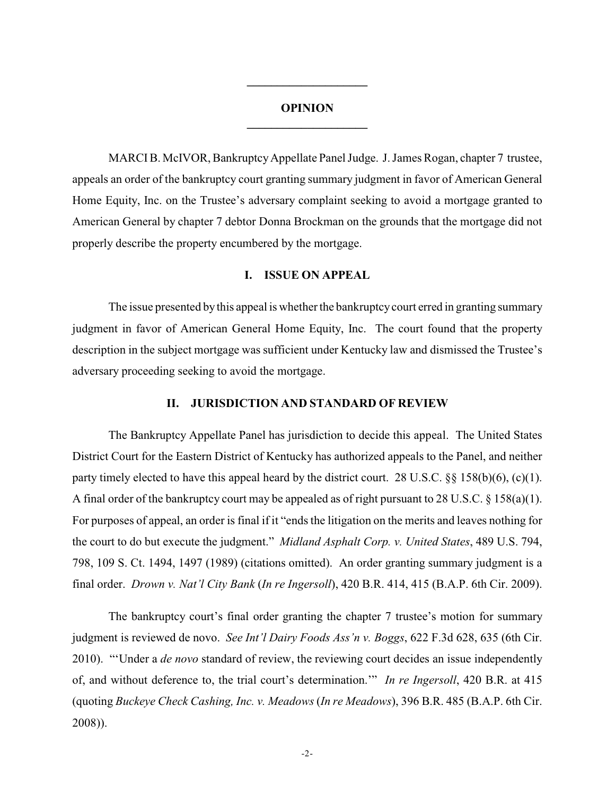## **OPINION \_\_\_\_\_\_\_\_\_\_\_\_\_\_\_\_\_\_\_\_**

**\_\_\_\_\_\_\_\_\_\_\_\_\_\_\_\_\_\_\_\_**

MARCI B. McIVOR, Bankruptcy Appellate Panel Judge. J. James Rogan, chapter 7 trustee, appeals an order of the bankruptcy court granting summary judgment in favor of American General Home Equity, Inc. on the Trustee's adversary complaint seeking to avoid a mortgage granted to American General by chapter 7 debtor Donna Brockman on the grounds that the mortgage did not properly describe the property encumbered by the mortgage.

#### **I. ISSUE ON APPEAL**

The issue presented by this appeal is whether the bankruptcy court erred in granting summary judgment in favor of American General Home Equity, Inc. The court found that the property description in the subject mortgage was sufficient under Kentucky law and dismissed the Trustee's adversary proceeding seeking to avoid the mortgage.

### **II. JURISDICTION AND STANDARD OF REVIEW**

The Bankruptcy Appellate Panel has jurisdiction to decide this appeal. The United States District Court for the Eastern District of Kentucky has authorized appeals to the Panel, and neither party timely elected to have this appeal heard by the district court. 28 U.S.C.  $\S$  158(b)(6), (c)(1). A final order of the bankruptcy court may be appealed as of right pursuant to 28 U.S.C. § 158(a)(1). For purposes of appeal, an order is final if it "ends the litigation on the merits and leaves nothing for the court to do but execute the judgment." *Midland Asphalt Corp. v. United States*, 489 U.S. 794, 798, 109 S. Ct. 1494, 1497 (1989) (citations omitted). An order granting summary judgment is a final order. *Drown v. Nat'l City Bank* (*In re Ingersoll*), 420 B.R. 414, 415 (B.A.P. 6th Cir. 2009).

The bankruptcy court's final order granting the chapter 7 trustee's motion for summary judgment is reviewed de novo. *See Int'l Dairy Foods Ass'n v. Boggs*, 622 F.3d 628, 635 (6th Cir. 2010). "'Under a *de novo* standard of review, the reviewing court decides an issue independently of, and without deference to, the trial court's determination.'" *In re Ingersoll*, 420 B.R. at 415 (quoting *Buckeye Check Cashing, Inc. v. Meadows*(*In re Meadows*), 396 B.R. 485 (B.A.P. 6th Cir. 2008)).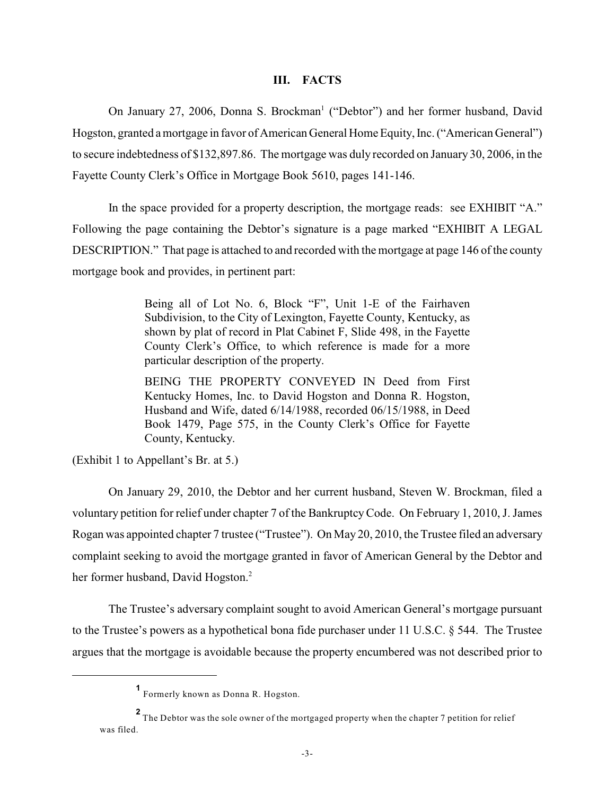#### **III. FACTS**

On January 27, 2006, Donna S. Brockman<sup>1</sup> ("Debtor") and her former husband, David Hogston, granted a mortgage in favor of American General Home Equity, Inc. ("American General") to secure indebtedness of \$132,897.86. The mortgage was duly recorded on January 30, 2006, in the Fayette County Clerk's Office in Mortgage Book 5610, pages 141-146.

In the space provided for a property description, the mortgage reads: see EXHIBIT "A." Following the page containing the Debtor's signature is a page marked "EXHIBIT A LEGAL DESCRIPTION." That page is attached to and recorded with the mortgage at page 146 of the county mortgage book and provides, in pertinent part:

> Being all of Lot No. 6, Block "F", Unit 1-E of the Fairhaven Subdivision, to the City of Lexington, Fayette County, Kentucky, as shown by plat of record in Plat Cabinet F, Slide 498, in the Fayette County Clerk's Office, to which reference is made for a more particular description of the property.

> BEING THE PROPERTY CONVEYED IN Deed from First Kentucky Homes, Inc. to David Hogston and Donna R. Hogston, Husband and Wife, dated 6/14/1988, recorded 06/15/1988, in Deed Book 1479, Page 575, in the County Clerk's Office for Fayette County, Kentucky.

(Exhibit 1 to Appellant's Br. at 5.)

On January 29, 2010, the Debtor and her current husband, Steven W. Brockman, filed a voluntary petition for relief under chapter 7 of the Bankruptcy Code. On February 1, 2010, J. James Rogan was appointed chapter 7 trustee ("Trustee"). On May 20, 2010, the Trustee filed an adversary complaint seeking to avoid the mortgage granted in favor of American General by the Debtor and her former husband, David Hogston.<sup>2</sup>

The Trustee's adversary complaint sought to avoid American General's mortgage pursuant to the Trustee's powers as a hypothetical bona fide purchaser under 11 U.S.C. § 544. The Trustee argues that the mortgage is avoidable because the property encumbered was not described prior to

Formerly known as Donna R. Hogston. **1**

The Debtor was the sole owner of the mortgaged property when the chapter 7 petition for relief **<sup>2</sup>** was filed.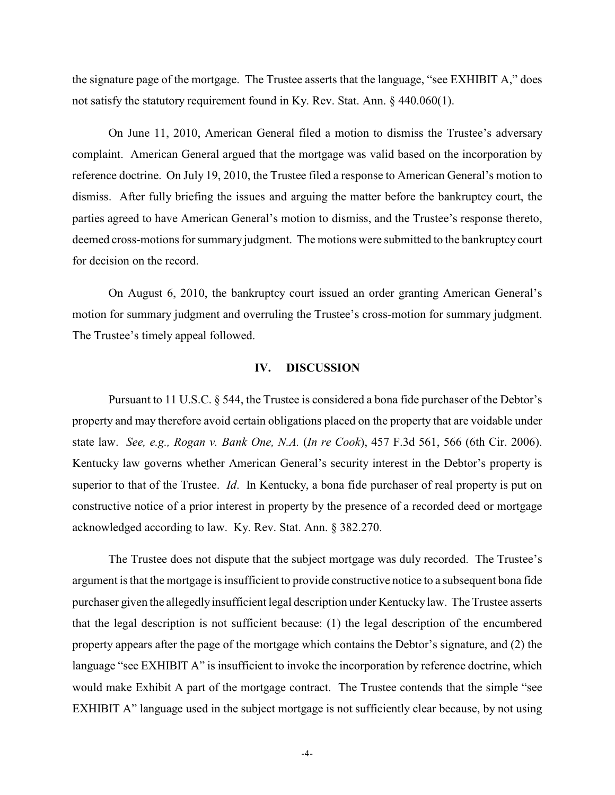the signature page of the mortgage. The Trustee asserts that the language, "see EXHIBIT A," does not satisfy the statutory requirement found in Ky. Rev. Stat. Ann. § 440.060(1).

On June 11, 2010, American General filed a motion to dismiss the Trustee's adversary complaint. American General argued that the mortgage was valid based on the incorporation by reference doctrine. On July 19, 2010, the Trustee filed a response to American General's motion to dismiss. After fully briefing the issues and arguing the matter before the bankruptcy court, the parties agreed to have American General's motion to dismiss, and the Trustee's response thereto, deemed cross-motions for summary judgment. The motions were submitted to the bankruptcy court for decision on the record.

On August 6, 2010, the bankruptcy court issued an order granting American General's motion for summary judgment and overruling the Trustee's cross-motion for summary judgment. The Trustee's timely appeal followed.

#### **IV. DISCUSSION**

Pursuant to 11 U.S.C. § 544, the Trustee is considered a bona fide purchaser of the Debtor's property and may therefore avoid certain obligations placed on the property that are voidable under state law. *See, e.g., Rogan v. Bank One, N.A.* (*In re Cook*), 457 F.3d 561, 566 (6th Cir. 2006). Kentucky law governs whether American General's security interest in the Debtor's property is superior to that of the Trustee. *Id*. In Kentucky, a bona fide purchaser of real property is put on constructive notice of a prior interest in property by the presence of a recorded deed or mortgage acknowledged according to law. Ky. Rev. Stat. Ann. § 382.270.

The Trustee does not dispute that the subject mortgage was duly recorded. The Trustee's argument is that the mortgage is insufficient to provide constructive notice to a subsequent bona fide purchaser given the allegedlyinsufficient legal description under Kentucky law. The Trustee asserts that the legal description is not sufficient because: (1) the legal description of the encumbered property appears after the page of the mortgage which contains the Debtor's signature, and (2) the language "see EXHIBIT A" is insufficient to invoke the incorporation by reference doctrine, which would make Exhibit A part of the mortgage contract. The Trustee contends that the simple "see EXHIBIT A" language used in the subject mortgage is not sufficiently clear because, by not using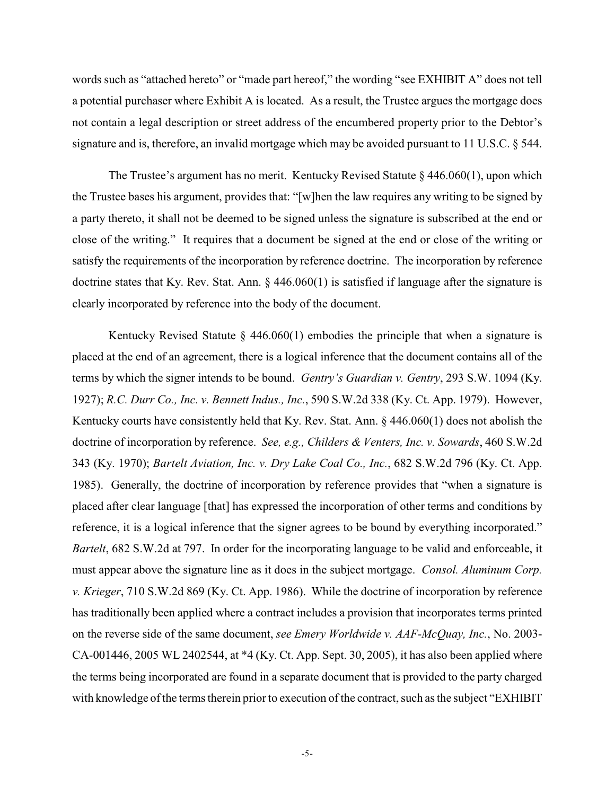words such as "attached hereto" or "made part hereof," the wording "see EXHIBIT A" does not tell a potential purchaser where Exhibit A is located. As a result, the Trustee argues the mortgage does not contain a legal description or street address of the encumbered property prior to the Debtor's signature and is, therefore, an invalid mortgage which may be avoided pursuant to 11 U.S.C. § 544.

The Trustee's argument has no merit. Kentucky Revised Statute § 446.060(1), upon which the Trustee bases his argument, provides that: "[w]hen the law requires any writing to be signed by a party thereto, it shall not be deemed to be signed unless the signature is subscribed at the end or close of the writing." It requires that a document be signed at the end or close of the writing or satisfy the requirements of the incorporation by reference doctrine. The incorporation by reference doctrine states that Ky. Rev. Stat. Ann. § 446.060(1) is satisfied if language after the signature is clearly incorporated by reference into the body of the document.

Kentucky Revised Statute  $\S$  446.060(1) embodies the principle that when a signature is placed at the end of an agreement, there is a logical inference that the document contains all of the terms by which the signer intends to be bound. *Gentry's Guardian v. Gentry*, 293 S.W. 1094 (Ky. 1927); *R.C. Durr Co., Inc. v. Bennett Indus., Inc.*, 590 S.W.2d 338 (Ky. Ct. App. 1979). However, Kentucky courts have consistently held that Ky. Rev. Stat. Ann.  $\S$  446.060(1) does not abolish the doctrine of incorporation by reference. *See, e.g., Childers & Venters, Inc. v. Sowards*, 460 S.W.2d 343 (Ky. 1970); *Bartelt Aviation, Inc. v. Dry Lake Coal Co., Inc.*, 682 S.W.2d 796 (Ky. Ct. App. 1985). Generally, the doctrine of incorporation by reference provides that "when a signature is placed after clear language [that] has expressed the incorporation of other terms and conditions by reference, it is a logical inference that the signer agrees to be bound by everything incorporated." *Bartelt*, 682 S.W.2d at 797. In order for the incorporating language to be valid and enforceable, it must appear above the signature line as it does in the subject mortgage. *Consol. Aluminum Corp. v. Krieger*, 710 S.W.2d 869 (Ky. Ct. App. 1986). While the doctrine of incorporation by reference has traditionally been applied where a contract includes a provision that incorporates terms printed on the reverse side of the same document, *see Emery Worldwide v. AAF-McQuay, Inc.*, No. 2003- CA-001446, 2005 WL 2402544, at \*4 (Ky. Ct. App. Sept. 30, 2005), it has also been applied where the terms being incorporated are found in a separate document that is provided to the party charged with knowledge of the terms therein prior to execution of the contract, such as the subject "EXHIBIT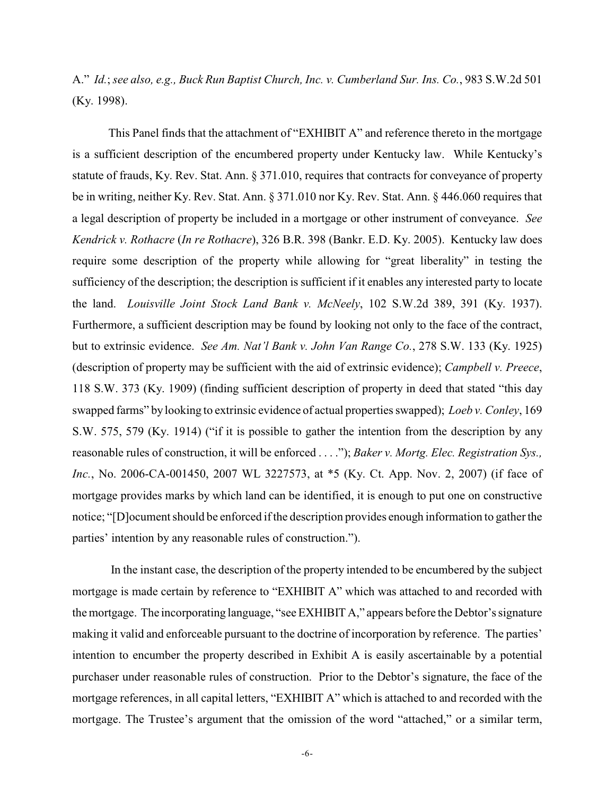A." *Id.*; *see also, e.g., Buck Run Baptist Church, Inc. v. Cumberland Sur. Ins. Co.*, 983 S.W.2d 501 (Ky. 1998).

This Panel finds that the attachment of "EXHIBIT A" and reference thereto in the mortgage is a sufficient description of the encumbered property under Kentucky law. While Kentucky's statute of frauds, Ky. Rev. Stat. Ann. § 371.010, requires that contracts for conveyance of property be in writing, neither Ky. Rev. Stat. Ann. § 371.010 nor Ky. Rev. Stat. Ann. § 446.060 requires that a legal description of property be included in a mortgage or other instrument of conveyance. *See Kendrick v. Rothacre* (*In re Rothacre*), 326 B.R. 398 (Bankr. E.D. Ky. 2005). Kentucky law does require some description of the property while allowing for "great liberality" in testing the sufficiency of the description; the description is sufficient if it enables any interested party to locate the land. *Louisville Joint Stock Land Bank v. McNeely*, 102 S.W.2d 389, 391 (Ky. 1937). Furthermore, a sufficient description may be found by looking not only to the face of the contract, but to extrinsic evidence. *See Am. Nat'l Bank v. John Van Range Co.*, 278 S.W. 133 (Ky. 1925) (description of property may be sufficient with the aid of extrinsic evidence); *Campbell v. Preece*, 118 S.W. 373 (Ky. 1909) (finding sufficient description of property in deed that stated "this day swapped farms" by looking to extrinsic evidence of actual properties swapped); *Loeb v. Conley*, 169 S.W. 575, 579 (Ky. 1914) ("if it is possible to gather the intention from the description by any reasonable rules of construction, it will be enforced . . . ."); *Baker v. Mortg. Elec. Registration Sys., Inc.*, No. 2006-CA-001450, 2007 WL 3227573, at \*5 (Ky. Ct. App. Nov. 2, 2007) (if face of mortgage provides marks by which land can be identified, it is enough to put one on constructive notice; "[D]ocument should be enforced if the description provides enough information to gather the parties' intention by any reasonable rules of construction.").

 In the instant case, the description of the property intended to be encumbered by the subject mortgage is made certain by reference to "EXHIBIT A" which was attached to and recorded with the mortgage. The incorporating language, "see EXHIBIT A," appears before the Debtor's signature making it valid and enforceable pursuant to the doctrine of incorporation by reference. The parties' intention to encumber the property described in Exhibit A is easily ascertainable by a potential purchaser under reasonable rules of construction. Prior to the Debtor's signature, the face of the mortgage references, in all capital letters, "EXHIBIT A" which is attached to and recorded with the mortgage. The Trustee's argument that the omission of the word "attached," or a similar term,